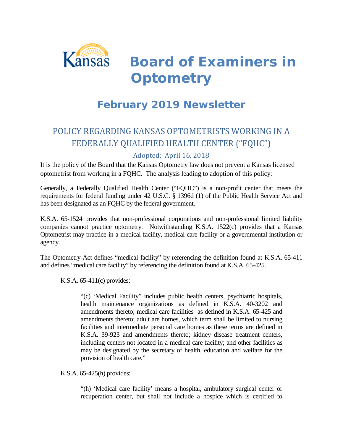

*Board of Examiners in Optometry*

# **February 2019 Newsletter**

## POLICY REGARDING KANSAS OPTOMETRISTS WORKING IN A FEDERALLY QUALIFIED HEALTH CENTER ("FQHC")

#### Adopted: April 16, 2018

It is the policy of the Board that the Kansas Optometry law does not prevent a Kansas licensed optometrist from working in a FQHC. The analysis leading to adoption of this policy:

Generally, a Federally Qualified Health Center ("FQHC") is a non-profit center that meets the requirements for federal funding under 42 U.S.C. § 1396d (1) of the Public Health Service Act and has been designated as an FQHC by the federal government.

K.S.A. 65-1524 provides that non-professional corporations and non-professional limited liability companies cannot practice optometry. Notwithstanding K.S.A. 1522(c) provides that a Kansas Optometrist may practice in a medical facility, medical care facility or a governmental institution or agency.

The Optometry Act defines "medical facility" by referencing the definition found at K.S.A. 65-411 and defines "medical care facility" by referencing the definition found at K.S.A. 65-425.

K.S.A. 65-411(c) provides:

"(c) 'Medical Facility" includes public health centers, psychiatric hospitals, health maintenance organizations as defined in K.S.A. 40-3202 and amendments thereto; medical care facilities as defined in K.S.A. 65-425 and amendments thereto; adult are homes, which term shall be limited to nursing facilities and intermediate personal care homes as these terms are defined in K.S.A. 39-923 and amendments thereto; kidney disease treatment centers, including centers not located in a medical care facility; and other facilities as may be designated by the secretary of health, education and welfare for the provision of health care."

K.S.A. 65-425(h) provides:

"(h) 'Medical care facility' means a hospital, ambulatory surgical center or recuperation center, but shall not include a hospice which is certified to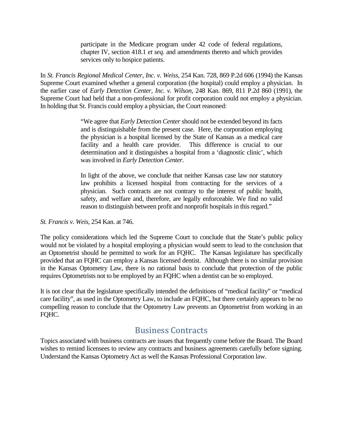participate in the Medicare program under 42 code of federal regulations, chapter IV, section 418.1 *et seq.* and amendments thereto and which provides services only to hospice patients.

In *St. Francis Regional Medical Center, Inc. v. Weiss*, 254 Kan. 728, 869 P.2d 606 (1994) the Kansas Supreme Court examined whether a general corporation (the hospital) could employ a physician. In the earlier case of *Early Detection Center, Inc. v. Wilson*, 248 Kan. 869, 811 P.2d 860 (1991), the Supreme Court had held that a non-professional for profit corporation could not employ a physician. In holding that St. Francis could employ a physician, the Court reasoned:

> "We agree that *Early Detection Center* should not be extended beyond its facts and is distinguishable from the present case. Here, the corporation employing the physician is a hospital licensed by the State of Kansas as a medical care facility and a health care provider. This difference is crucial to our determination and it distinguishes a hospital from a 'diagnostic clinic', which was involved in *Early Detection Center*.

> In light of the above, we conclude that neither Kansas case law nor statutory law prohibits a licensed hospital from contracting for the services of a physician. Such contracts are not contrary to the interest of public health, safety, and welfare and, therefore, are legally enforceable. We find no valid reason to distinguish between profit and nonprofit hospitals in this regard."

*St. Francis v. Weis,* 254 Kan. at 746.

The policy considerations which led the Supreme Court to conclude that the State's public policy would not be violated by a hospital employing a physician would seem to lead to the conclusion that an Optometrist should be permitted to work for an FQHC. The Kansas legislature has specifically provided that an FQHC can employ a Kansas licensed dentist. Although there is no similar provision in the Kansas Optometry Law, there is no rational basis to conclude that protection of the public requires Optometrists not to be employed by an FQHC when a dentist can be so employed.

It is not clear that the legislature specifically intended the definitions of "medical facility" or "medical care facility", as used in the Optometry Law, to include an FQHC, but there certainly appears to be no compelling reason to conclude that the Optometry Law prevents an Optometrist from working in an FQHC.

#### Business Contracts

Topics associated with business contracts are issues that frequently come before the Board. The Board wishes to remind licensees to review any contracts and business agreements carefully before signing. Understand the Kansas Optometry Act as well the Kansas Professional Corporation law.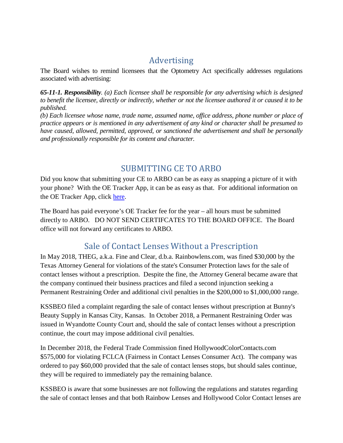### Advertising

The Board wishes to remind licensees that the Optometry Act specifically addresses regulations associated with advertising:

*65-11-1. Responsibility. (a) Each licensee shall be responsible for any advertising which is designed to benefit the licensee, directly or indirectly, whether or not the licensee authored it or caused it to be published.*

*(b) Each licensee whose name, trade name, assumed name, office address, phone number or place of practice appears or is mentioned in any advertisement of any kind or character shall be presumed to have caused, allowed, permitted, approved, or sanctioned the advertisement and shall be personally and professionally responsible for its content and character.* 

#### SUBMITTING CE TO ARBO

Did you know that submitting your CE to ARBO can be as easy as snapping a picture of it with your phone? With the OE Tracker App, it can be as easy as that. For additional information on the OE Tracker App, click [here.](https://www.arbo.org/oet_app.php)

The Board has paid everyone's OE Tracker fee for the year – all hours must be submitted directly to ARBO. DO NOT SEND CERTIFCATES TO THE BOARD OFFICE. The Board office will not forward any certificates to ARBO.

### Sale of Contact Lenses Without a Prescription

In May 2018, THEG, a.k.a. Fine and Clear, d.b.a. Rainbowlens.com, was fined \$30,000 by the Texas Attorney General for violations of the state's Consumer Protection laws for the sale of contact lenses without a prescription. Despite the fine, the Attorney General became aware that the company continued their business practices and filed a second injunction seeking a Permanent Restraining Order and additional civil penalties in the \$200,000 to \$1,000,000 range.

KSSBEO filed a complaint regarding the sale of contact lenses without prescription at Bunny's Beauty Supply in Kansas City, Kansas. In October 2018, a Permanent Restraining Order was issued in Wyandotte County Court and, should the sale of contact lenses without a prescription continue, the court may impose additional civil penalties.

In December 2018, the Federal Trade Commission fined HollywoodColorContacts.com \$575,000 for violating FCLCA (Fairness in Contact Lenses Consumer Act). The company was ordered to pay \$60,000 provided that the sale of contact lenses stops, but should sales continue, they will be required to immediately pay the remaining balance.

KSSBEO is aware that some businesses are not following the regulations and statutes regarding the sale of contact lenses and that both Rainbow Lenses and Hollywood Color Contact lenses are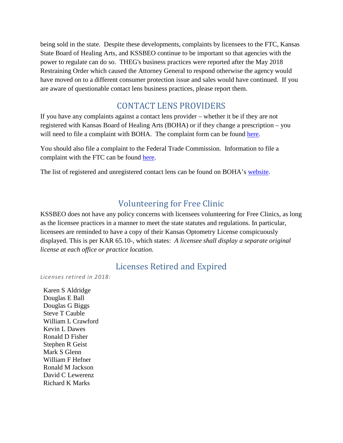being sold in the state. Despite these developments, complaints by licensees to the FTC, Kansas State Board of Healing Arts, and KSSBEO continue to be important so that agencies with the power to regulate can do so. THEG's business practices were reported after the May 2018 Restraining Order which caused the Attorney General to respond otherwise the agency would have moved on to a different consumer protection issue and sales would have continued. If you are aware of questionable contact lens business practices, please report them.

#### CONTACT LENS PROVIDERS

If you have any complaints against a contact lens provider – whether it be if they are not registered with Kansas Board of Healing Arts (BOHA) or if they change a prescription – you will need to file a complaint with BOHA. The complaint form can be found [here.](http://www.ksbha.org/forms/complaint.pdf)

You should also file a complaint to the Federal Trade Commission. Information to file a complaint with the FTC can be found [here.](https://www.ftc.gov/faq/consumer-protection/submit-consumer-complaint-ftc)

The list of registered and unregistered contact lens can be found on BOHA's [website.](http://www.ksbha.org/departments/licensing/contactlens.shtml)

### Volunteering for Free Clinic

KSSBEO does not have any policy concerns with licensees volunteering for Free Clinics, as long as the licensee practices in a manner to meet the state statutes and regulations. In particular, licensees are reminded to have a copy of their Kansas Optometry License conspicuously displayed. This is per KAR 65.10-, which states: *A licensee shall display a separate original license at each office or practice location.*

#### Licenses Retired and Expired

*Licenses retired in 2018:*

Karen S Aldridge Douglas E Ball Douglas G Biggs Steve T Cauble William L Crawford Kevin L Dawes Ronald D Fisher Stephen R Geist Mark S Glenn William F Hefner Ronald M Jackson David C Lewerenz Richard K Marks